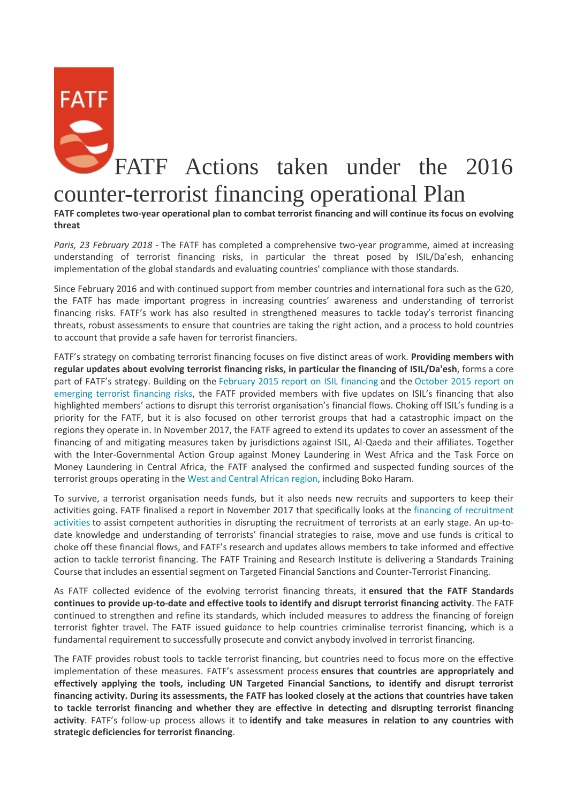## FATF Actions taken under the 2016

## counter-terrorist financing operational Plan

**FATF completes two-year operational plan to combat terrorist financing and will continue its focus on evolving threat**

*Paris, 23 February 2018 -* The FATF has completed a comprehensive two-year programme, aimed at increasing understanding of terrorist financing risks, in particular the threat posed by ISIL/Da'esh, enhancing implementation of the global standards and evaluating countries' compliance with those standards.

Since February 2016 and with continued support from member countries and international fora such as the G20, the FATF has made important progress in increasing countries' awareness and understanding of terrorist financing risks. FATF's work has also resulted in strengthened measures to tackle today's terrorist financing threats, robust assessments to ensure that countries are taking the right action, and a process to hold countries to account that provide a safe haven for terrorist financiers.

FATF's strategy on combating terrorist financing focuses on five distinct areas of work. **Providing members with regular updates about evolving terrorist financing risks, in particular the financing of ISIL/Da'esh**, forms a core part of FATF's strategy. Building on the [February 2015 report on ISIL financing](http://www.fatf-gafi.org/publications/methodsandtrends/documents/financing-of-terrorist-organisation-isil.html) and the [October 2015 report on](http://www.fatf-gafi.org/publications/methodsandtrends/documents/emerging-terrorist-financing-risks.html)  [emerging terrorist financing risks](http://www.fatf-gafi.org/publications/methodsandtrends/documents/emerging-terrorist-financing-risks.html), the FATF provided members with five updates on ISIL's financing that also highlighted members' actions to disrupt this terrorist organisation's financial flows. Choking off ISIL's funding is a priority for the FATF, but it is also focused on other terrorist groups that had a catastrophic impact on the regions they operate in. In November 2017, the FATF agreed to extend its updates to cover an assessment of the financing of and mitigating measures taken by jurisdictions against ISIL, Al-Qaeda and their affiliates. Together with the Inter-Governmental Action Group against Money Laundering in West Africa and the Task Force on Money Laundering in Central Africa, the FATF analysed the confirmed and suspected funding sources of the terrorist groups operating in the [West and Central African region,](http://www.fatf-gafi.org/publications/methodsandtrends/documents/terrorist-financing-west-central-africa.html) including Boko Haram.

To survive, a terrorist organisation needs funds, but it also needs new recruits and supporters to keep their activities going. FATF finalised a report in November 2017 that specifically looks at the [financing of recruitment](http://www.fatf-gafi.org/publications/methodsandtrends/documents/financing-recruitment-terrorist-purposes.html)  [activities](http://www.fatf-gafi.org/publications/methodsandtrends/documents/financing-recruitment-terrorist-purposes.html) to assist competent authorities in disrupting the recruitment of terrorists at an early stage. An up-todate knowledge and understanding of terrorists' financial strategies to raise, move and use funds is critical to choke off these financial flows, and FATF's research and updates allows members to take informed and effective action to tackle terrorist financing. The FATF Training and Research Institute is delivering a Standards Training Course that includes an essential segment on Targeted Financial Sanctions and Counter-Terrorist Financing.

As FATF collected evidence of the evolving terrorist financing threats, it **ensured that the FATF Standards continues to provide up-to-date and effective tools to identify and disrupt terrorist financing activity**. The FATF continued to strengthen and refine its standards, which included measures to address the financing of foreign terrorist fighter travel. The FATF issued guidance to help countries criminalise terrorist financing, which is a fundamental requirement to successfully prosecute and convict anybody involved in terrorist financing.

The FATF provides robust tools to tackle terrorist financing, but countries need to focus more on the effective implementation of these measures. FATF's assessment process **ensures that countries are appropriately and effectively applying the tools, including UN Targeted Financial Sanctions, to identify and disrupt terrorist financing activity. During its assessments, the FATF has looked closely at the actions that countries have taken to tackle terrorist financing and whether they are effective in detecting and disrupting terrorist financing activity**. FATF's follow-up process allows it to **identify and take measures in relation to any countries with strategic deficiencies for terrorist financing**.